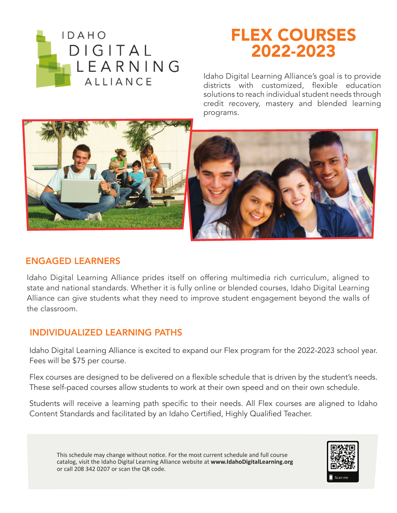

# FLEX COURSES 2022-2023

Idaho Digital Learning Alliance's goal is to provide districts with customized, flexible education solutions to reach individual student needs through credit recovery, mastery and blended learning programs.





#### ENGAGED LEARNERS

Idaho Digital Learning Alliance prides itself on offering multimedia rich curriculum, aligned to state and national standards. Whether it is fully online or blended courses, Idaho Digital Learning Alliance can give students what they need to improve student engagement beyond the walls of the classroom.

#### INDIVIDUALIZED LEARNING PATHS

Idaho Digital Learning Alliance is excited to expand our Flex program for the 2022-2023 school year. Fees will be \$75 per course.

Flex courses are designed to be delivered on a flexible schedule that is driven by the student's needs. These self-paced courses allow students to work at their own speed and on their own schedule.

Students will receive a learning path specific to their needs. All Flex courses are aligned to Idaho Content Standards and facilitated by an Idaho Certified, Highly Qualified Teacher.

This schedule may change without notice. For the most current schedule and full course catalog, visit the Idaho Digital Learning Alliance website at **www.IdahoDigitalLearning.org** or call 208 342 0207 or scan the QR code.